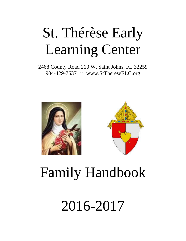# St. Thérèse Early Learning Center

2468 County Road 210 W, Saint Johns, FL 32259 904-429-7637 www.StThereseELC.org





# Family Handbook

2016-2017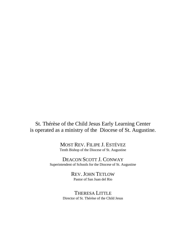St. Thérèse of the Child Jesus Early Learning Center is operated as a ministry of the Diocese of St. Augustine.

> MOST REV. FILIPE J. ESTÉVEZ Tenth Bishop of the Diocese of St. Augustine

DEACON SCOTT J. CONWAY Superintendent of Schools for the Diocese of St. Augustine

> REV. JOHN TETLOW Pastor of San Juan del Rio

THERESA LITTLE Director of St. Thérèse of the Child Jesus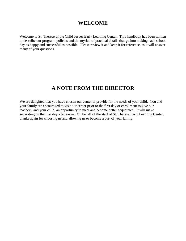## **WELCOME**

Welcome to St. Thérèse of the Child Jesues Early Learning Center. This handbook has been written to describe our program, policies and the myriad of practical details that go into making each school day as happy and successful as possible. Please review it and keep it for reference, as it will answer many of your questions.

## **A NOTE FROM THE DIRECTOR**

We are delighted that you have chosen our center to provide for the needs of your child. You and your family are encouraged to visit our center prior to the first day of enrollment to give our teachers, and your child, an opportunity to meet and become better acquainted. It will make separating on the first day a bit easier. On behalf of the staff of St. Thérèse Early Learning Center, thanks again for choosing us and allowing us to become a part of your family.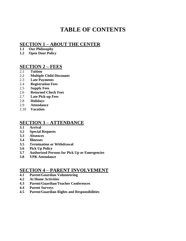# **TABLE OF CONTENTS**

## **SECTION 1 – ABOUT THE CENTER**

- **1.1 Our Philosophy**
- **1.2 Open Door Policy**

## **SECTION 2 – FEES**

- 2.1 **Tuition**
- 2.2 **Multiple Child Discounts**
- 2.3 **Late Payments**
- 2.4 **Registration Fees**
- 2.5 **Supply Fees**
- 2.6 **Returned Check Fees**
- 2.7 **Late Pick-up Fees**
- 2.8 **Holidays**
- 2.9 **Attendance**
- 2.10 **Vacation**

## **SECTION 3 – ATTENDANCE**

- **3.1 Arrival**
- **3.2 Special Requests**
- **3.3 Absences**
- **3.4 Illnesses**
- **3.5 Termination or Withdrawal**
- **3.6 Pick Up Policy**
- **3.7 Authorized Persons for Pick Up or Emergencies**
- **3.8 VPK Attendance**

### **SECTION 4 – PARENT INVOLVEMENT**

- **4.1 Parent/Guardian Volunteering**
- **4.2 At Home Activities**
- **4.3 Parent/Guardian/Teacher Conferences**
- **4.4 Parent Surveys**
- **4.5 Parent/Guardian Rights and Responsibilities**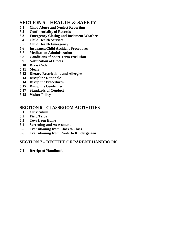## **SECTION 5 – HEALTH & SAFETY**

- **5.1 Child Abuse and Neglect Reporting**
- **5.2 Confidentiality of Records**
- **5.3 Emergency Closing and Inclement Weather**
- **5.4 Child Health Services**
- **5.5 Child Health Emergency**
- **5.6 Insurance/Child Accident Procedures**
- **5.7 Medication Administration**
- **5.8 Conditions of Short Term Exclusion**
- **5.9 Notification of Illness**
- **5.10 Dress Code**
- **5.11 Meals**
- **5.12 Dietary Restrictions and Allergies**
- **5.13 Discipline Rationale**
- **5.14 Discipline Procedures**
- **5.15 Discipline Guidelines**
- **5.17 Standards of Conduct**
- **5.18 Visitor Policy**

#### **SECTION 6 – CLASSROOM ACTIVITIES**

- **6.1 Curriculum**
- **6.2 Field Trips**
- **6.3 Toys from Home**
- **6.4 Screening and Assessment**
- **6.5 Transitioning from Class to Class**
- **6.6 Transitioning from Pre-K to Kindergarten**

### **SECTION 7 – RECEIPT OF PARENT HANDBOOK**

**7.1 Receipt of Handbook**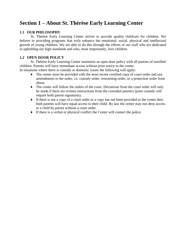# **Section 1 – About St. Thérèse Early Learning Center**

#### **1.1 OUR PHILOSOPHY**

St. Thérèse Early Learning Center strives to provide quality childcare for children. We believe in providing programs that truly enhance the emotional, social, physical and intellectual growth of young children. We are able to do this through the efforts of our staff who are dedicated to upholding our high standards and who, most importantly, love children*.*

#### **1.2 OPEN DOOR POLICY**

St. Thérèse Early Learning Center maintains an open door policy with all parents of enrolled children. Parents will have immediate access without prior notice to the center.

In situations where there is custody or domestic issues the following will apply:

- ♦ The center must be provided with the most recent certified copy of court order and any amendments to the order, i.e. custody order, restraining order, or a protection order from abuse.
- ♦ The center will follow the orders of the court. Deviations from the court order will only be made if there are written instructions from the custodial parent/s (joint custody will require both parent signatures).
- ♦ If there is not a copy of a court order or a copy has not been provided to the center then both parents will have equal access to their child. By law the center may not deny access to a child by parent without a court order.
- ♦ If there is a verbal or physical conflict the Center will contact the police.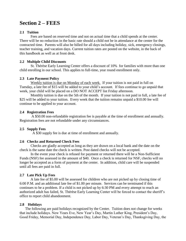## **Section 2 – FEES**

#### **2.1 Tuition**

Fees are based on reserved time and not on actual time that a child spends at the center. There will be no reduction in the basic rate should a child not be in attendance at the center for the contracted time. Parents will also be billed for all days including holiday, sick, emergency closings, teacher training, and vacation days. Current tuition rates are posted on the website, in the back of this handbook as well as at front desk.

#### **2.2 Multiple Child Discounts**

St. Thérèse Early Learning Center offers a discount of 10% for families with more than one child enrolling in our school. This applies to full-time, year round enrollment only.

#### **2.3 Late Payment Policy**

Weekly tuition is due on Monday of each week. If your tuition is not paid in full on Tuesday, a late fee of \$15 will be added to your child's account. If fees continue to go unpaid that week, your child will be placed on a DO NOT ACCEPT list Friday afternoon.

Monthly tuition is due on the 5th of the month. If your tuition is not paid in full, a late fee of \$25 will be added to your tuition. Every week that the tuition remains unpaid a \$10.00 fee will continue to be applied to your account.

#### **2.4 Registration Fees**

A \$50.00 non-refundable registration fee is payable at the time of enrollment and annually. Registration fees are not refundable under any circumstances.

#### **2.5 Supply Fees**

A \$30 supply fee is due at time of enrollment and annually.

#### **2.6 Checks and Returned Check Fees**

Checks are gladly accepted as long as they are drawn on a local bank and the date on the check is the same date the check is written. Post dated checks will not be accepted.

In the event your check is refused for payment or returned there will be a Non-Sufficient Funds (NSF) fee assessed in the amount of \$40. Once a check is returned for NSF, checks will no longer be accepted as a form of payment at the center. In addition, child care will be suspended until all fees are paid in full.

#### **2.7 Late Pick Up Fees**

A late fee of \$5.00 will be assessed for children who are not picked up by closing time of 6:00 P.M. and an additional late fee of \$1.00 per minute. Services can be terminated if this continues to be a problem. If a child is not picked up by 6:30 PM and every attempt to reach an authorized adult has failed, St. Thérèse Early Learning Center will be forced to contact the sheriff's office to report child abandonment.

#### **2.8 Holidays**

The following are paid holidays recognized by the Center. Tuition does not change for weeks that include holidays. New Years Eve, New Year's Day, Martin Luther King, President's Day, Good Friday, Memorial Day, Independence Day, Labor Day, Veteran's Day, Thanksgiving Day, the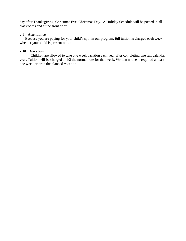day after Thanksgiving, Christmas Eve, Christmas Day. A Holiday Schedule will be posted in all classrooms and at the front door.

#### 2.9 **Attendance**

Because you are paying for your child's spot in our program, full tuition is charged each week whether your child is present or not.

#### **2.10 Vacation**

Children are allowed to take one week vacation each year after completing one full calendar year. Tuition will be charged at 1/2 the normal rate for that week. Written notice is required at least one week prior to the planned vacation.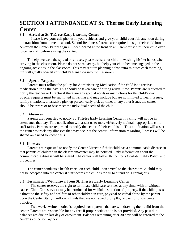## **SECTION 3 ATTENDANCE AT St. Thérèse Early Learning Center**

#### **3.1 Arrival at St. Thérèse Early Learning Center**

Please leave your cell phones in your vehicles and give your child your full attention during the transition from home to school. School Readiness Parents are required to sign their child into the center on the Center Parent Sign in Sheet located at the front desk. Parent must turn their child over to center staff before exiting the center.

To help decrease the spread of viruses, please assist your child in washing his/her hands when arriving in the classroom. Please do not sneak away, but help your child become engaged in the ongoing activities in the classroom. This may require planning a few extra minutes each morning, but will greatly benefit your child's transition into the classroom.

#### **3.2 Special Requests**

Parents must follow the policy for Administering Medication if the child is to receive medication during the day. This should be taken care of during arrival time. Parents are requested to notify the teacher or Director if there are any special needs or instructions for the child's day. Special requests must be submitted in writing and may include but are not limited to health issues, family situations, alternative pick up person, early pick up time, or any other issues the center should be aware of to best meet the individual needs of the child.

#### **3.3 Absences**

Parents are requested to notify St. Thérèse Early Learning Center if a child will not be in attendance that day. This notification will assist us to more effectively maintain appropriate child staff ratios. Parents are requested to notify the center if their child is ill. This notification will assist the center to track any illnesses that may occur at the center. Information regarding illnesses will be shared on a need to know basis.

#### **3.4 Illnesses**

Parents are requested to notify the Center Director if their child has a communicable disease so that parents of children in the classroom/center may be notified. Only information about the communicable disease will be shared. The center will follow the center's Confidentiality Policy and procedures.

The center conducts a health check on each child upon arrival to the classroom. A child may not be accepted into the center if staff deems the child is too ill to attend or is contagious.

#### **3.5 Termination/Withdrawal from St. Thérèse Early Learning Center**

The center reserves the right to terminate child care services at any time, with or without cause. Child Care services may be terminated for willful destruction of property, if the child poses a threat to the safety and welfare of other children in care, physical or verbal abuse by the parent upon the Center Staff, insufficient funds that are not repaid promptly, refusal to follow center policies.

Two weeks written notice is required from parents that are withdrawing their child from the center. Parents are responsible for any fees if proper notification is not provided. Any past due balances are due on last day of enrollment. Balances remaining after 30 days will be referred to the center's collection agency.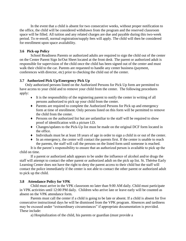In the event that a child is absent for two consecutive weeks, without proper notification to the office, the child will be considered withdrawn from the program and the reserved classroom space will be filled. All tuition and any related charges are due and payable during this two-week period. To re-enroll, normal registration/supply fees will apply. The child will then be considered for enrollment upon space availability.

#### **3.6 Pick-up Policy**

School Readiness Parents or authorized adults are required to sign the child out of the center on the Center Parent Sign In/Out Sheet located at the front desk. The parent or authorized adult is responsible for supervision of the child once the child has been signed out of the center and must walk their child to the car. Parents are requested to handle any center business (payment, conferences with director, etc) prior to checking the child out of the center.

#### **3.7 Authorized Pick Up/Emergency Pick Up**

Only authorized persons listed on the Authorized Persons for Pick Up form are permitted to have access to your child and to remove your child from the center. The following procedures apply:

- $\bullet$  It is the responsibility of the registering parent to notify the center in writing of all persons authorized to pick up your child from the center.
- ♦ Parents are required to complete the Authorized Persons for Pick up and emergency form at time of enrollment. Only persons listed on this form will be permitted to remove the child from the center.
- ♦ Persons on the authorized list but are unfamiliar to the staff will be required to show proof of identification with a picture I.D.
- ♦ Changes/updates to the Pick-Up list must be made on the original DCF form located in the office.
- ♦ Individuals must be at least 18 years of age in order to sign a child in or out of the center.
- $\bullet$  In an emergency, the center will contact the parents first. If the center is unable to reach the parents, the staff will call the persons on the listed form until someone is reached.

It is the parent's responsibility to ensure that an authorized person is available to pick up the child on time.

If a parent or authorized adult appears to be under the influence of alcohol and/or drugs the staff will attempt to contact the other parent or authorized adult on the pick up list. St. Thérèse Early Learning Center does not have the right to deny the parent access to their child but the staff will contact the police immediately if the center is not able to contact the other parent or authorized adult to pick up the child.

#### **3.8 Attendance Policy for VPK**

Child must arrive in the VPK classroom no later than 9:00 AM daily. Child must participate in VPK activities until 12:00 PM daily. Children who arrive late or leave early will be counted as absent on the VPK attendance form.

Parents must call the center if a child is going to be late or absent. If a child is absent for five consecutive instructional days he will be dismissed from the VPK program. Absences and tardiness may be excused under "extraordinary circumstances" if appropriate documentation is provided. These include:

a) Hospitalization of the child, his parents or guardian (must provide a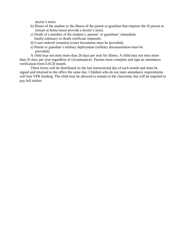doctor's note).

- b) Illness of the student or the illness of the parent or guardian that requires the ill person to remain at home (must provide a doctor's note).
- c) Death of a member of the student's, parents' or guardians' immediate family (obituary or death certificate required).
- d) Court ordered visitation (court documents must be provided).
- e) Parent or guardian's military deployment (military documentation must be provided).

A child may not miss more than 26 days per year for illness. A child may not miss more than 35 days per year regardless of circumstances. Parents must complete and sign an attendance verification form EACH month.

These forms will be distributed on the last instructional day of each month and must be signed and returned to the office the same day. Children who do not meet attendance requirements will lose VPK funding. The child may be allowed to remain in the classroom, but will be required to pay full tuition.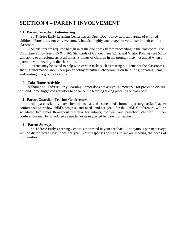# **SECTION 4 – PARENT INVOLVEMENT**

#### **4.1 Parent/Guardian Volunteering**

St. Thérèse Early Learning Center has an Open Door policy with all parents of enrolled children. Parents are not only welcomed, but also highly encouraged to volunteer in their child's classroom.

All visitors are required to sign in at the front desk before proceeding to the classroom. The Discipline Policy (see 5.15 & 5.16), Standards of Conduct (see 5.17), and Visitor Policies (see 5.18) will apply to all volunteers at all times. Siblings of children in the program may not attend when a parent is volunteering in the classroom.

Parents may be asked to help with certain tasks such as cutting out items for the classrooms, sharing information about their job or hobby or culture, chaperoning on field trips, donating items, and reading to a group of children.

#### 4.2 **Take Home Activities**

Although St. Thérèse Early Learning Center does not assign "homework" for preschoolers, we do send home suggested activities to enhance the learning taking place in the classroom.

#### **4.3 Parent/Guardian Teacher Conferences**

All parents/family are invited to attend scheduled formal parent/guardian/teacher conferences to review child's progress and needs and set goals for the child. Conferences will be scheduled two times throughout the year for infants, toddlers, and preschool children. Other conferences may be scheduled as needed or as requested by parent or teacher.

#### **4.4 Parent Surveys**

St. Thérèse Early Learning Center is interested in your feedback. Anonymous parent surveys will be distributed at least once per year. Your responses will ensure we are meeting the needs of our families.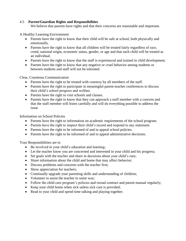#### 4.5 **Parent/Guardian Rights and Responsibilities**

We believe that parents have rights and that their concerns are reasonable and important.

A Healthy Learning Environment

- Parents have the right to know that their child will be safe at school, both physically and emotionally.
- Parents have the right to know that all children will be treated fairly regardless of race, creed, national origin, economic status, gender, or age and that each child will be treated as an individual.
- Parents have the right to know that the staff is experienced and trained in child development.
- Parents have the right to know that any negative or cruel behavior among students or between students and staff will not be tolerated.

Clear, Courteous Communication

- Parents have the right to be treated with courtesy by all members of the staff.
- Parents have the right to participate in meaningful parent-teacher conferences to discuss their child's school progress and welfare.
- Parents have the right to visit schools and classes.
- Parents have the right to know that they can approach a staff member with a concern and that the staff member will listen carefully and will do everything possible to address the issue

Information on School Policies

- Parents have the right to information on academic requirements of the school program.
- Parents have the right to inspect their child's record and respond to any statement.
- Parents have the right to be informed of and to appeal school policies.
- Parents have the right to be informed of and to appeal administrative decisions.

Your Responsibilities are to

- Be involved in your child's education and learning;
- Let the teacher know you are concerned and interested in your child and his progress;
- Set goals with the teacher and share in decisions about your child's care;
- Share information about the child and home that may affect behavior;
- Discuss problems and concerns with the teacher first;
- Show appreciation for teachers;
- Continually upgrade your parenting skills and understanding of children;
- Volunteer to assist the teacher in some way;
- Follow the child care program's policies and reread contract and parent manual regularly;
- Keep your child home when sick unless sick care is provided;
- Read to your child and spend time talking and playing together.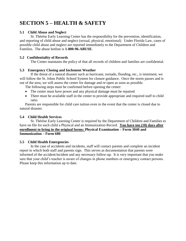# **SECTION 5 – HEALTH & SAFETY**

#### **5.1 Child Abuse and Neglect**

St. Thérèse Early Learning Center has the responsibility for the prevention, identification, and reporting of child abuse and neglect (sexual, physical, emotional). Under Florida Law, cases of possible child abuse and neglect are reported immediately to the Department of Children and Families. The abuse hotline is **1-800-96-ABUSE**.

#### **5.2 Confidentiality of Records**

The Center maintains the policy of that all records of children and families are confidential.

#### **5.3 Emergency Closing and Inclement Weather**

If the threat of a natural disaster such as hurricane, tornado, flooding, etc., is imminent, we will follow the St. Johns Public School System for closure guidance. Once the storm passes and is out of the area, we will assess the center for damage and re-open as soon as possible.

The following steps must be confirmed before opening the center:

- The center must have power and any physical damage must be repaired
- There must be available staff in the center to provide appropriate and required staff to child ratio.

Parents are responsible for child care tuition even in the event that the center is closed due to natural disaster.

#### **5.4 Child Health Services**

St. Thérèse Early Learning Center is required by the Department of Children and Families to have on file for each child a Physical and an Immunization Record. **You have ten (10) days after enrollment to bring in the original forms: Physical Examination – Form 3040 and Immunization – Form 680**

#### **5.5 Child Health Emergencies**

In the case of accidents and incidents, staff will contact parents and complete an incident report in which both staff and parents sign. This serves as documentation that parents were informed of the accident/incident and any necessary follow-up. It is very important that you make sure that your child's teacher is aware of changes in phone numbers or emergency contact persons. Please keep this information up to date.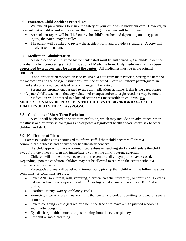#### **5.6 Insurance/Child Accident Procedures**

 We take all pre-cautions to insure the safety of your child while under our care. However, in the event that a child is hurt at our center, the following procedures will be followed:

- An accident report will be filled out by the child's teacher and depending on the type of injury, the parent may be called.
- The parent will be asked to review the accident form and provide a signature. A copy will be given to the parent.

#### **5.7 Medication Administration**

All medication administered by the center staff must be authorized by the child's parent or guardian by first completing an Administration of Medicine form. **Only medicine that has been prescribed by a doctor may be given at the center.** All medicines must be in the original container.

If non-prescription medication is to be given, a note from the physician, stating the name of the medication and the dosage instructions, must be attached. Staff will inform parent/guardian immediately of any noticed side effects or changes in behavior.

Parents are strongly encouraged to give all medications at home. If this is the case, please notify your child's teacher so that any behavioral changes and/or allergic reactions may be noted.

#### Medication will be stored in a locked secure area inaccessible to children. **NO MEDICATION MAY BE PLACED IN THE CHILD'S CUBBY/BOOKBAG OR LEFT UNATTENDED IN THE CLASSROOM.**

#### **5.8 Conditions of Short Term Exclusion**

A child will be placed on short-term exclusion, which may include non-admittance, when the illness and/or injury is contagious and/or poses a significant health and/or safety risk to other children and staff.

#### **5.9 Notification of Illness**

Parents/Guardians are encouraged to inform staff if their child becomes ill from a communicable disease and of any other health/safety concerns.

If a child appears to have a communicable disease, teaching staff should isolate the child away from the other children and immediately contact the child's parent/guardian.

Children will not be allowed to return to the center until all symptoms have ceased. Depending upon the condition, children may not be allowed to return to the center without a physicians' authorization.

Parents/Guardians will be asked to immediately pick up their children if the following signs, symptoms, or conditions are present:

- Fever AND sore throat, rash, vomiting, diarrhea, earache, irritability, or confusion. Fever is defined as having a temperature of  $100^0$  F or higher taken under the arm or  $101^0$  F taken orally.
- Diarrhea runny, watery, or bloody stools.
- Vomiting two or more times, vomiting that contains blood, or vomiting followed by severe cramping.
- Severe coughing child gets red or blue in the face or to make a high pitched whooping sound after coughing.
- Eye discharge thick mucus or pus draining from the eye, or pink eye
- Difficult or rapid breathing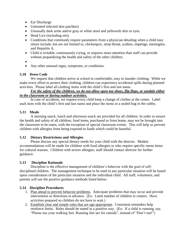- Ear Discharge
- Untreated infected skin patch(es)
- Unusually dark urine and/or gray or white stool and yellowish skin or eyes.
- Head Lice (including nits)
- Conditions that commonly require parameters from a physician detailing when a child may return include, but are not limited to, chickenpox, strep throat, scabies, impetigo, meningitis, and Hepatitis A.
- Child is irritable, continuously crying, or requires more attention than staff can provide without jeopardizing the health and safety of the other children.
- $\bullet$
- Any other unusual signs, symptoms, or conditions.

#### **5.10 Dress Code**

We request that children arrive at school in comfortable, easy to launder clothing. While we make every effort to protect their clothing, children can experience accidental spills during planned activities. Please label all clothing items with the child's first and last name.

#### *For the safety of the children, we do not allow open-toe shoes, flip flops, or sandals either in the classroom or during outdoor activities.*

In case of accidents, we request every child keep a change of clothes at the center. Label each item with the child's first and last name and place the items in a sealed bag in the cubby.

#### **5.11 Meals**

A morning snack, lunch and afternoon snack are provided for all children. In order to ensure the health and safety of all children, food items, purchased or from home, may not be brought into the classroom to be eaten, with the exception of special classroom events. This will help us prevent children with allergies from being exposed to foods which could be harmful.

#### **5.12 Dietary Restrictions and Allergies**

Please discuss any special dietary needs for your child with the director. Modest accommodations will be made for children with food allergies or who require specific menu items for cultural reasons. Children with severe allergies, staff should contact director for further guidance.

#### **5.13 Discipline Rationale**

Discipline is the effective management of children's behavior with the goal of selfdisciplined children. The management technique to be used in any particular situation will be based upon consideration of the particular situation and the individual child. All staff, volunteers, and parents will use the positive guidance methods listed below:

#### **5.14 Discipline Procedures**

- 1. Plan ahead to prevent behavior problems. Anticipate problems that may occur and provide intervention or directions in advance. (Ex: Limit number of children in centers. Have activities prepared so children do not have to wait.)
- 2. Establish clear and simple rules that are age-appropriate. Consistent reminders help reinforce limits. Rules should be stated in a positive way. (Ex: If a child is running, say, "Please use your walking feet. Running feet are for outside", instead of "Don't run!")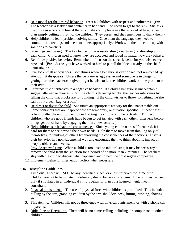- 3. Be a model for the desired behavior. Treat all children with respect and politeness. (Ex: The teacher has a leaky paint container in her hand. She needs to get to the sink. She asks the children who are in line at the sink if she could please use the sink out of turn, rather than simply cutting in front of the children. They agree, and she remembers to thank them.)
- 4. Help children to learn problem-solving skills. Give them the language they need to communicate feelings and needs to others appropriately. Work with them to come up with solutions to conflicts.
- 5. Give hugs and caring. The key to discipline is establishing a nurturing relationship with each child. Children need to know they are accepted and loved no matter how they behave.
- 6. Reinforce positive behavior. Remember to focus on the specific behavior you wish to see repeated. (Ex: "Jessie, you have worked so hard to put all the blocks neatly on the shelf. Fantastic job!")
- 7. Overlook small annoyances. Sometimes when a behavior is overlooked, not reinforced by attention, it disappears. Unless the behavior is aggressive and someone is in danger of getting hurt, the teacher/caregiver might be wise to let the children work out the problem on their own.
- 8. Offer positive alternatives to a negative behavior. If a child's behavior is unacceptable, suggest alternative choices. (Ex: If a child is throwing blocks, the teacher intervenes by telling the child that blocks are for building. If the child wishes to throw something, he/she can throw a bean bag, or a ball.)
- 9. Re-direct or divert the child. Substitute an appropriate activity for the unacceptable one. Some behaviors that are inappropriate are temporary, or situation specific. In these cases it is best to alter the environment by redirecting the child to another activity. (Ex: Two children who are good friends have begun to get irritated with each other. Intervene before things get out of hand by engaging them in a new activity.)
- 10. Help children see behavioral consequences. Since young children are self-centered, it is hard for them to see beyond their own needs. Help them to move from thinking only of themselves, to thinking of others by analyzing the consequences of their actions. Discuss their behavior in a non-judgmental way and encourage them to think about its impact on people, objects and events.
- 11. Provide renewal time. When a child is too upset to talk or listen, it may be necessary to remove the child from the situation for a period of no more than 2 minutes. The teachers stay with the child to discuss what happened and to help the child regain composure.
- 12. Implement Behavior Intervention Policy when necessary.

#### **5.15 Discipline Guidelines**

- 1. Time out. There will NOT be any identified space, or chair, reserved for "time out". Children are not to be isolated indefinitely due to behavior problems. Time out may be used only if stipulated in an individual child's behavior plan by a licensed mental health consultant.
- 2. Physical punishment. The use of physical force with children is prohibited. This includes pulling by the arm, grabbing children by the arm/shoulders/neck, hitting, pushing, shoving, etc.
- 3. Threatening. Children will not be threatened with physical punishment, or with a phone call to parents.
- 4. Ridiculing or Degrading. There will be no name-calling, belittling, or comparison to other children.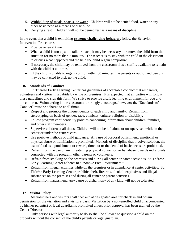- 5. Withholding of meals, snacks, or water. Children will not be denied food, water or any other basic need as a means of discipline.
- 6. Denying a rest. Children will not be denied rest as a means of discipline.

In the event that a child is exhibiting **extreme challenging behavior**, follow the Behavior Intervention Procedures:

- Provide renewal time.
- When a child is too upset to talk or listen, it may be necessary to remove the child from the situation for no more than 2 minutes. The teacher is to stay with the child in the classroom to discuss what happened and the help the child regain composure.
- If necessary, the child may be removed from the classroom if two staff is available to remain with the child at all times.
- If the child is unable to regain control within 30 minutes, the parents or authorized persons may be contacted to pick up the child.

#### **5.16 Standards of Conduct**

St. Thérèse Early Learning Center has guidelines of acceptable conduct that all parents, volunteers and visitors must abide by while on premises. It is expected that all parties will follow these guidelines and sign this form. We strive to provide a safe learning environment for you and the children. Volunteering in the classroom is strongly encouraged however; the "Standards of Conduct" must be adhered to at all times.

- Respect and promote the unique identity of each child and family. Refrain from stereotyping on basis of gender, race, ethnicity, culture, religion or disability.
- Follow program confidentiality policies concerning information about children, families, and other staff members.
- Supervise children at all times. Children will not be left alone or unsupervised while in the center or under the centers care.
- Use positive methods of child guidance. Any use of corporal punishment, emotional or physical abuse or humiliation is prohibited. Methods of discipline that involve isolation, the use of food as a punishment or reward, time out or the denial of basic needs are prohibited.
- Refrain from the use of any threatening physical contact or verbal abuse towards individuals connected with the program, other parents or volunteers.
- Refrain from smoking on the premises and during all center or parent activities. St. Thérèse Early Learning Center adheres to a "Smoke Free Environment."
- Refrain from illegal activities while on the premises or in attendance at center activities. St. Thérèse Early Learning Center prohibits theft, firearms, alcohol, explosives and illegal substances on the premises and during all center or parent activities.
- Refrain from harassment. Any cause of disharmony of any kind will not be tolerated.

#### **5.17 Visitor Policy**

All volunteers and visitors shall check-in at designated area for check in and obtain permission for the visitation and a visitor's pass. Visitation by a non-enrolled child unaccompanied by his/her parent(s) or legal guardian is prohibited unless prior approval has been granted by the Center Director.

Only persons with legal authority to do so shall be allowed to question a child on the property without the consent of the child's parents or legal guardian.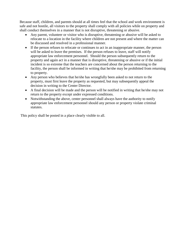Because staff, children, and parents should at all times feel that the school and work environment is safe and not hostile, all visitors to the property shall comply with all policies while on property and shall conduct themselves in a manner that is not disruptive, threatening or abusive.

- Any parent, volunteer or visitor who is disruptive, threatening or abusive will be asked to relocate to a location in the facility where children are not present and where the matter can be discussed and resolved in a professional manner.
- If the person refuses to relocate or continues to act in an inappropriate manner, the person will be asked to leave the premises. If the person refuses to leave, staff will notify appropriate law enforcement personnel. Should the person subsequently return to the property and again act in a manner that is disruptive, threatening or abusive or if the initial incident is so extreme that the teachers are concerned about the person returning to the facility, the person shall be informed in writing that he/she may be prohibited from returning to property.
- Any person who believes that he/she has wrongfully been asked to not return to the property, must first leave the property as requested, but may subsequently appeal the decision in writing to the Center Director.
- A final decision will be made and the person will be notified in writing that he/she may not return to the property except under expressed conditions.
- Notwithstanding the above, center personnel shall always have the authority to notify appropriate law enforcement personnel should any person or property violate criminal statutes.

This policy shall be posted in a place clearly visible to all.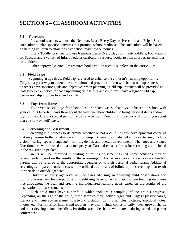# **SECTION 6 – CLASSROOM ACTIVITIES**

#### **6.1 Curriculum**

Preschool teachers will use the Nemours Learn Every Day for Preschool and Bright Start curriculum to plan specific activities that promote school readiness. The curriculum will be based on helping children to attain positive school readiness outcomes.

Infant/Toddler teachers will use Nemours Learn Every Day for Infant/Toddlers, Foundations for Success and a variety of Infant-Toddler curriculum resource books to plan appropriate activities for children.

Other approved curriculum resource books will be used to supplement the curriculum.

#### **6.2 Field Trips**

Beginning at age three, field trips are used to enhance the children's learning opportunity. They are a great way to extend the curriculum and provide children with hands-on experiences. Teachers have specific goals and objectives when planning a field trip. Parents will be provided at least two weeks notice for each upcoming field trip. Each child must have a signed field trip permission slip in order to attend each trip.

#### **6.3 Toys from Home**

To prevent special toys from being lost or broken, we ask that toys not be sent to school with your child. On certain days throughout the year, we allow children to bring personal items and/or toys to share during a special part of the day's activities. Your child's teacher will inform you about these "Show-N-Tell" days.

#### 6.4 **Screening and Assessment**

Screening is a process to determine whether or not a child has any developmental concerns that may require further evaluation and follow-up. Screenings conducted at the center may include vision, hearing, speech/language, nutrition, dental, and overall development. The Ages and Stages Questionnaire will be used at least once per year. Parental consent forms for screening are included in the registration packet.

Parents will be informed in writing of results of screenings. At home activities may be recommended based on the results of the screenings. If further evaluation or services are needed, parents will be referred to the appropriate agencies or to their personal pediatricians. Additional screenings and parent conferences will be utilized as a means of follow-up on screenings that result in referrals to outside agencies.

Children at every age level will be assessed using an on-going child observations and portfolio assessment for the purpose of identifying developmentally appropriate learning outcomes met throughout the year and creating individualized learning goals based on the results of the observations and assessments.

Each child must have a portfolio which includes a sampling of the child's progress. Depending on the age of the child, these samples may include Ages and Stages Questionnaires, literacy and numeracy assessments, artwork, dictation, writing samples, pictures, anecdotal notes, photos, etc. Portfolios for infants and toddlers may also include copies of daily notes, growth charts, and other developmental checklists. Portfolios are to be shared with parents during scheduled parent conferences.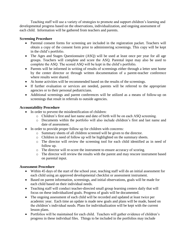Teaching staff will use a variety of strategies to promote and support children's learning and developmental progress based on the observations, individualization, and ongoing assessment of each child. Information will be gathered from teachers and parents.

#### **Screening Procedure**

- Parental consent forms for screening are included in the registration packet. Teachers will obtain a copy of the consent form prior to administering screenings. This copy will be kept in the child's portfolio.
- The Ages and Stages Questionnaire (ASQ) will be used at least once per year for all age groups. Teachers will complete and score the ASQ. Parental input may also be used to complete the ASQ. The scored ASQ will be kept in the child's portfolio.
- Parents will be informed in writing of results of screenings either through a letter sent home by the center director or through written documentation of a parent-teacher conference where results were shared.
- At home activities will be recommended based on the results of the screenings.
- If further evaluation or services are needed, parents will be referred to the appropriate agencies or to their personal pediatricians.
- Additional screenings and parent conferences will be utilized as a means of follow-up on screenings that result in referrals to outside agencies.

#### **Accountability Procedure**

- In order to prevent the misidentification of children:
	- o Children's first and last name and date of birth will be on each ASQ screening.
	- o Documents within the portfolio will also include children's first and last name and date of assessment.
- In order to provide proper follow up for children with concerns:
	- o Summary sheets of all children screened will be given to the director.
	- o Children in need of follow up will be highlighted on the summary sheets.
	- o The director will review the screening tool for each child identified as in need of follow up.
	- o The director will re-score the instrument to ensure accuracy of scoring.
	- o The director will review the results with the parent and may rescore instrument based on parental input.

#### **Assessment Procedure**

- Within 45 days of the start of the school year, teaching staff will do an initial assessment for each child using an approved developmental checklist or assessment instrument.
- Based on parent information, screenings, and initial observations, goals will be made for each child based on their individual needs.
- Teaching staff will conduct teacher-directed small group learning centers daily that will focus on these individualized goals. Progress of goals will be documented.
- The ongoing assessment of each child will be recorded and updated at least twice per academic year. Each time an update is made new goals and plans will be made, based on the children's individual needs. Plans for individualization will be kept with the current lesson plans.
- Portfolios will be maintained for each child. Teachers will gather evidence of children's progress in these individual files. Things to be included in the portfolios may include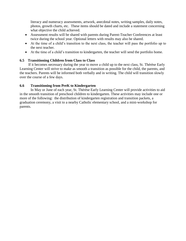literacy and numeracy assessments, artwork, anecdotal notes, writing samples, daily notes, photos, growth charts, etc. These items should be dated and include a statement concerning what objective the child achieved.

- Assessment results will be shared with parents during Parent-Teacher Conferences at least twice during the school year. Optional letters with results may also be shared.
- At the time of a child's transition to the next class, the teacher will pass the portfolio up to the next teacher.
- At the time of a child's transition to kindergarten, the teacher will send the portfolio home.

#### **6.5 Transitioning Children from Class to Class**

If it becomes necessary during the year to move a child up to the next class, St. Thérèse Early Learning Center will strive to make as smooth a transition as possible for the child, the parents, and the teachers. Parents will be informed both verbally and in writing. The child will transition slowly over the course of a few days.

#### **6.6 Transitioning from PreK to Kindergarten**

In May or June of each year, St. Thérèse Early Learning Center will provide activities to aid in the smooth transition of preschool children to kindergarten. These activities may include one or more of the following: the distribution of kindergarten registration and transition packets, a graduation ceremony, a visit to a nearby Catholic elementary school, and a mini-workshop for parents.